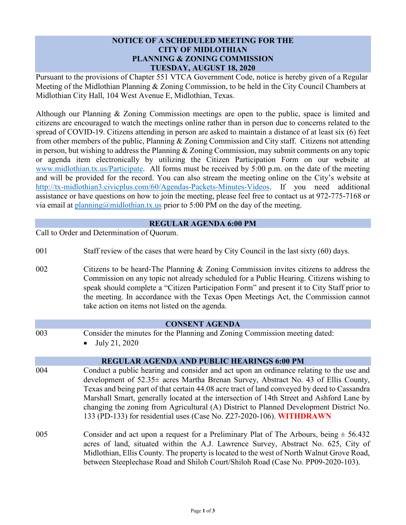# **NOTICE OF A SCHEDULED MEETING FOR THE CITY OF MIDLOTHIAN PLANNING & ZONING COMMISSION TUESDAY, AUGUST 18, 2020**

Pursuant to the provisions of Chapter 551 VTCA Government Code, notice is hereby given of a Regular Meeting of the Midlothian Planning & Zoning Commission, to be held in the City Council Chambers at Midlothian City Hall, 104 West Avenue E, Midlothian, Texas.

Although our Planning & Zoning Commission meetings are open to the public, space is limited and citizens are encouraged to watch the meetings online rather than in person due to concerns related to the spread of COVID-19. Citizens attending in person are asked to maintain a distance of at least six (6) feet from other members of the public, Planning & Zoning Commission and City staff. Citizens not attending in person, but wishing to address the Planning & Zoning Commission, may submit comments on any topic or agenda item electronically by utilizing the Citizen Participation Form on our website at [www.midlothian.tx.us/Participate.](http://www.midlothian.tx.us/Participate) All forms must be received by 5:00 p.m. on the date of the meeting and will be provided for the record. You can also stream the meeting online on the City's website at [http://tx-midlothian3.civicplus.com/60/Agendas-Packets-Minutes-Videos.](http://tx-midlothian3.civicplus.com/60/Agendas-Packets-Minutes-Videos) If you need additional assistance or have questions on how to join the meeting, please feel free to contact us at 972-775-7168 or via email at [planning@midlothian.tx.us](mailto:planning@midlothian.tx.us) prior to 5:00 PM on the day of the meeting.

# **REGULAR AGENDA 6:00 PM**

Call to Order and Determination of Quorum.

- 001 Staff review of the cases that were heard by City Council in the last sixty (60) days.
- 002 Citizens to be heard-The Planning & Zoning Commission invites citizens to address the Commission on any topic not already scheduled for a Public Hearing. Citizens wishing to speak should complete a "Citizen Participation Form" and present it to City Staff prior to the meeting. In accordance with the Texas Open Meetings Act, the Commission cannot take action on items not listed on the agenda.

#### **CONSENT AGENDA**

- 003 Consider the minutes for the Planning and Zoning Commission meeting dated:
	- July 21, 2020

# **REGULAR AGENDA AND PUBLIC HEARINGS 6:00 PM**

- 004 Conduct a public hearing and consider and act upon an ordinance relating to the use and development of 52.35± acres Martha Brenan Survey, Abstract No. 43 of Ellis County, Texas and being part of that certain 44.08 acre tract of land conveyed by deed to Cassandra Marshall Smart, generally located at the intersection of 14th Street and Ashford Lane by changing the zoning from Agricultural (A) District to Planned Development District No. 133 (PD-133) for residential uses (Case No. Z27-2020-106). **WITHDRAWN**
- 005 Consider and act upon a request for a Preliminary Plat of The Arbours, being  $\pm$  56.432 acres of land, situated within the A.J. Lawrence Survey, Abstract No. 625, City of Midlothian, Ellis County. The property is located to the west of North Walnut Grove Road, between Steeplechase Road and Shiloh Court/Shiloh Road (Case No. PP09-2020-103).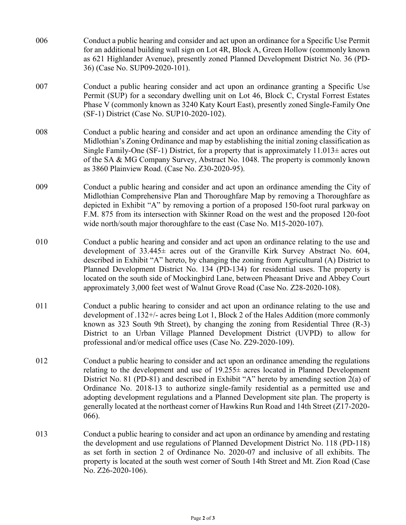006 Conduct a public hearing and consider and act upon an ordinance for a Specific Use Permit for an additional building wall sign on Lot 4R, Block A, Green Hollow (commonly known as 621 Highlander Avenue), presently zoned Planned Development District No. 36 (PD-36) (Case No. SUP09-2020-101). 007 Conduct a public hearing consider and act upon an ordinance granting a Specific Use Permit (SUP) for a secondary dwelling unit on Lot 46, Block C, Crystal Forrest Estates Phase V (commonly known as 3240 Katy Kourt East), presently zoned Single-Family One (SF-1) District (Case No. SUP10-2020-102). 008 Conduct a public hearing and consider and act upon an ordinance amending the City of Midlothian's Zoning Ordinance and map by establishing the initial zoning classification as Single Family-One (SF-1) District, for a property that is approximately  $11.013\pm$  acres out of the SA & MG Company Survey, Abstract No. 1048. The property is commonly known as 3860 Plainview Road. (Case No. Z30-2020-95). 009 Conduct a public hearing and consider and act upon an ordinance amending the City of Midlothian Comprehensive Plan and Thoroughfare Map by removing a Thoroughfare as depicted in Exhibit "A" by removing a portion of a proposed 150-foot rural parkway on F.M. 875 from its intersection with Skinner Road on the west and the proposed 120-foot wide north/south major thoroughfare to the east (Case No. M15-2020-107). 010 Conduct a public hearing and consider and act upon an ordinance relating to the use and development of 33.445± acres out of the Granville Kirk Survey Abstract No. 604, described in Exhibit "A" hereto, by changing the zoning from Agricultural (A) District to Planned Development District No. 134 (PD-134) for residential uses. The property is located on the south side of Mockingbird Lane, between Pheasant Drive and Abbey Court approximately 3,000 feet west of Walnut Grove Road (Case No. Z28-2020-108). 011 Conduct a public hearing to consider and act upon an ordinance relating to the use and development of .132+/- acres being Lot 1, Block 2 of the Hales Addition (more commonly known as 323 South 9th Street), by changing the zoning from Residential Three (R-3) District to an Urban Village Planned Development District (UVPD) to allow for professional and/or medical office uses (Case No. Z29-2020-109). 012 Conduct a public hearing to consider and act upon an ordinance amending the regulations relating to the development and use of 19.255± acres located in Planned Development District No. 81 (PD-81) and described in Exhibit "A" hereto by amending section 2(a) of Ordinance No. 2018-13 to authorize single-family residential as a permitted use and adopting development regulations and a Planned Development site plan. The property is generally located at the northeast corner of Hawkins Run Road and 14th Street (Z17-2020- 066). 013 Conduct a public hearing to consider and act upon an ordinance by amending and restating the development and use regulations of Planned Development District No. 118 (PD-118) as set forth in section 2 of Ordinance No. 2020-07 and inclusive of all exhibits. The property is located at the south west corner of South 14th Street and Mt. Zion Road (Case No. Z26-2020-106).